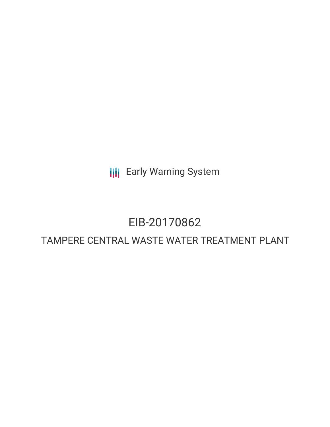**III** Early Warning System

# EIB-20170862

## TAMPERE CENTRAL WASTE WATER TREATMENT PLANT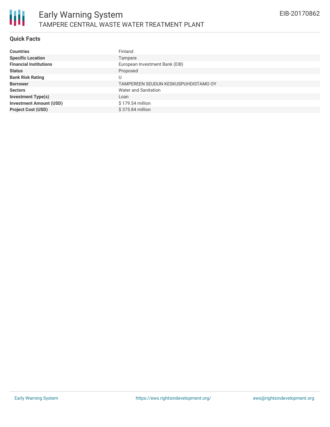

#### **Quick Facts**

朋

| <b>Countries</b>               | Finland                              |
|--------------------------------|--------------------------------------|
| <b>Specific Location</b>       | Tampere                              |
| <b>Financial Institutions</b>  | European Investment Bank (EIB)       |
| <b>Status</b>                  | Proposed                             |
| <b>Bank Risk Rating</b>        | υ                                    |
| <b>Borrower</b>                | TAMPEREEN SEUDUN KESKUSPUHDISTAMO OY |
| <b>Sectors</b>                 | Water and Sanitation                 |
| <b>Investment Type(s)</b>      | Loan                                 |
| <b>Investment Amount (USD)</b> | \$179.54 million                     |
| <b>Project Cost (USD)</b>      | $$375.84$ million                    |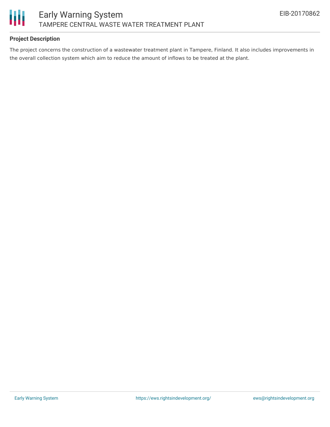

#### **Project Description**

The project concerns the construction of a wastewater treatment plant in Tampere, Finland. It also includes improvements in the overall collection system which aim to reduce the amount of inflows to be treated at the plant.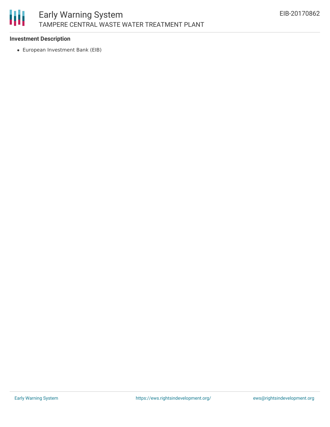

#### **Investment Description**

European Investment Bank (EIB)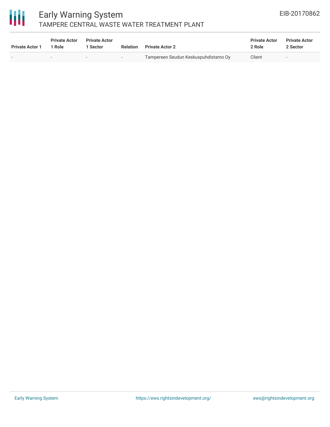

### Early Warning System TAMPERE CENTRAL WASTE WATER TREATMENT PLANT

| <b>Private Actor 1</b> | <b>Private Actor</b><br>1 Role | <b>Private Actor</b><br>Sector | <b>Relation</b> | <b>Private Actor 2</b>               | <b>Private Actor</b><br>2 Role | <b>Private Actor</b><br>2 Sector |
|------------------------|--------------------------------|--------------------------------|-----------------|--------------------------------------|--------------------------------|----------------------------------|
| $\sim$                 | . .                            | $\overline{\phantom{0}}$       | $-$             | Tampereen Seudun Keskuspuhdistamo Oy | Client                         |                                  |